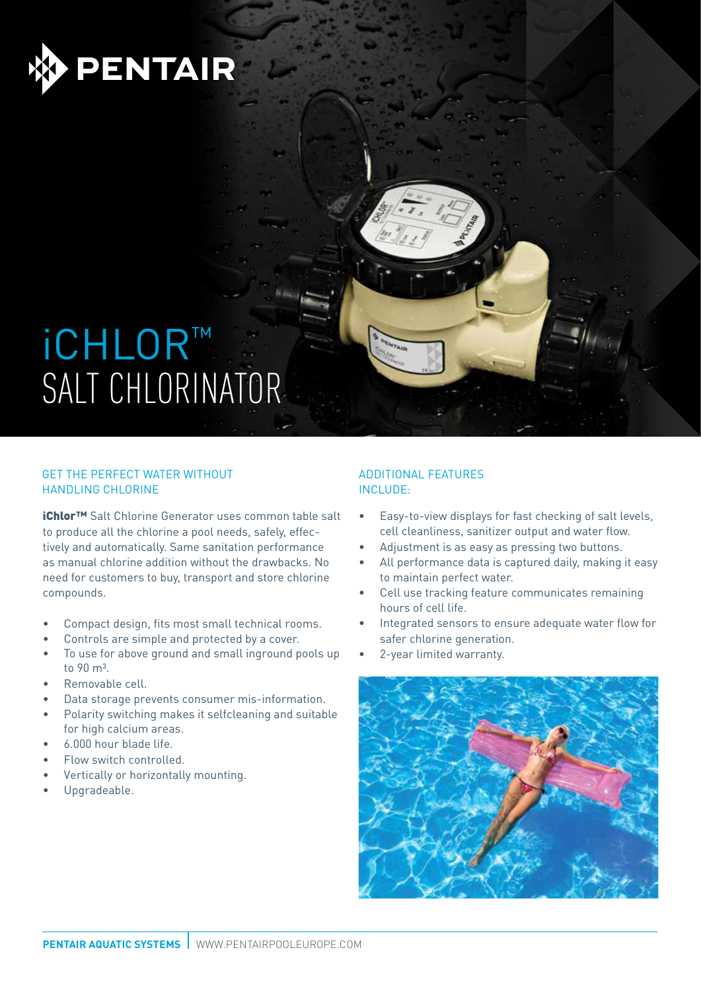

## ichlor™ SALT CHLORINATOR

### GET THE PERFECT WATER WITHOUT HANDLING CHLORINE

iChlor™ Salt Chlorine Generator uses common table salt to produce all the chlorine a pool needs, safely, effectively and automatically. Same sanitation performance as manual chlorine addition without the drawbacks. No need for customers to buy, transport and store chlorine compounds.

- Compact design, fits most small technical rooms.
- Controls are simple and protected by a cover.
- To use for above ground and small inground pools up to  $90 \text{ m}^3$
- Removable cell.
- Data storage prevents consumer mis-information.
- Polarity switching makes it selfcleaning and suitable for high calcium areas.
- 6.000 hour blade life.
- Flow switch controlled.
- Vertically or horizontally mounting.
- Upgradeable.

### ADDITIONAL FEATURES INCLUDE:

- Easy-to-view displays for fast checking of salt levels, cell cleanliness, sanitizer output and water flow.
- Adjustment is as easy as pressing two buttons.
- All performance data is captured daily, making it easy to maintain perfect water.
- Cell use tracking feature communicates remaining hours of cell life.
- Integrated sensors to ensure adequate water flow for safer chlorine generation.
- 2-year limited warranty.